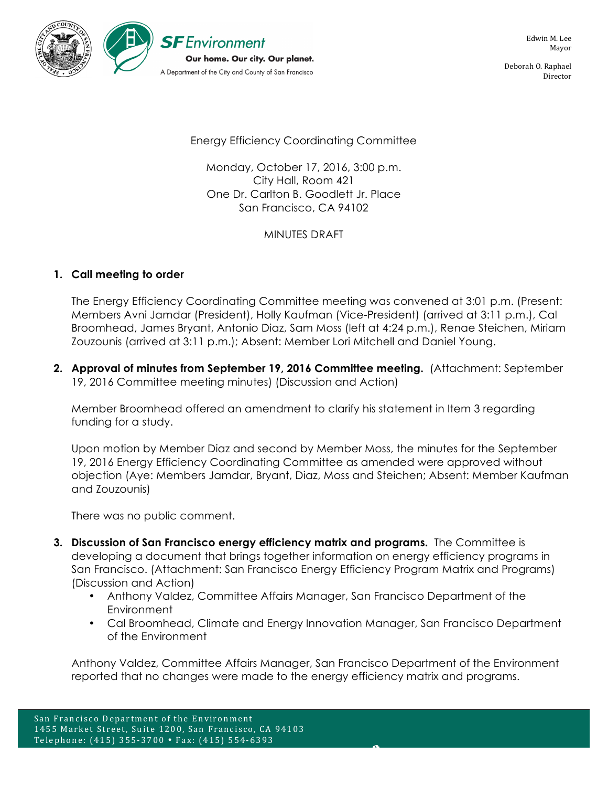

Deborah O. Raphael Director

Energy Efficiency Coordinating Committee

Monday, October 17, 2016, 3:00 p.m. City Hall, Room 421 One Dr. Carlton B. Goodlett Jr. Place San Francisco, CA 94102

# MINUTES DRAFT

# **1. Call meeting to order**

The Energy Efficiency Coordinating Committee meeting was convened at 3:01 p.m. (Present: Members Avni Jamdar (President), Holly Kaufman (Vice-President) (arrived at 3:11 p.m.), Cal Broomhead, James Bryant, Antonio Diaz, Sam Moss (left at 4:24 p.m.), Renae Steichen, Miriam Zouzounis (arrived at 3:11 p.m.); Absent: Member Lori Mitchell and Daniel Young.

**2. Approval of minutes from September 19, 2016 Committee meeting.** (Attachment: September 19, 2016 Committee meeting minutes) (Discussion and Action)

Member Broomhead offered an amendment to clarify his statement in Item 3 regarding funding for a study.

Upon motion by Member Diaz and second by Member Moss, the minutes for the September 19, 2016 Energy Efficiency Coordinating Committee as amended were approved without objection (Aye: Members Jamdar, Bryant, Diaz, Moss and Steichen; Absent: Member Kaufman and Zouzounis)

There was no public comment.

- **3. Discussion of San Francisco energy efficiency matrix and programs.** The Committee is developing a document that brings together information on energy efficiency programs in San Francisco. (Attachment: San Francisco Energy Efficiency Program Matrix and Programs) (Discussion and Action)
	- Anthony Valdez, Committee Affairs Manager, San Francisco Department of the Environment
	- Cal Broomhead, Climate and Energy Innovation Manager, San Francisco Department of the Environment

Anthony Valdez, Committee Affairs Manager, San Francisco Department of the Environment reported that no changes were made to the energy efficiency matrix and programs.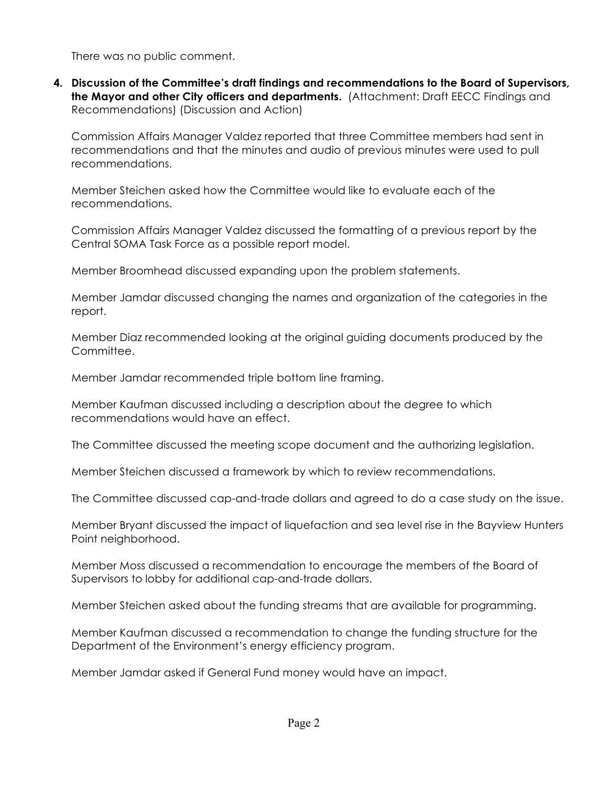There was no public comment.

**4. Discussion of the Committee's draft findings and recommendations to the Board of Supervisors, the Mayor and other City officers and departments.** (Attachment: Draft EECC Findings and Recommendations) (Discussion and Action)

Commission Affairs Manager Valdez reported that three Committee members had sent in recommendations and that the minutes and audio of previous minutes were used to pull recommendations.

Member Steichen asked how the Committee would like to evaluate each of the recommendations.

Commission Affairs Manager Valdez discussed the formatting of a previous report by the Central SOMA Task Force as a possible report model.

Member Broomhead discussed expanding upon the problem statements.

Member Jamdar discussed changing the names and organization of the categories in the report.

Member Diaz recommended looking at the original guiding documents produced by the Committee.

Member Jamdar recommended triple bottom line framing.

Member Kaufman discussed including a description about the degree to which recommendations would have an effect.

The Committee discussed the meeting scope document and the authorizing legislation.

Member Steichen discussed a framework by which to review recommendations.

The Committee discussed cap-and-trade dollars and agreed to do a case study on the issue.

Member Bryant discussed the impact of liquefaction and sea level rise in the Bayview Hunters Point neighborhood.

Member Moss discussed a recommendation to encourage the members of the Board of Supervisors to lobby for additional cap-and-trade dollars.

Member Steichen asked about the funding streams that are available for programming.

Member Kaufman discussed a recommendation to change the funding structure for the Department of the Environment's energy efficiency program.

Member Jamdar asked if General Fund money would have an impact.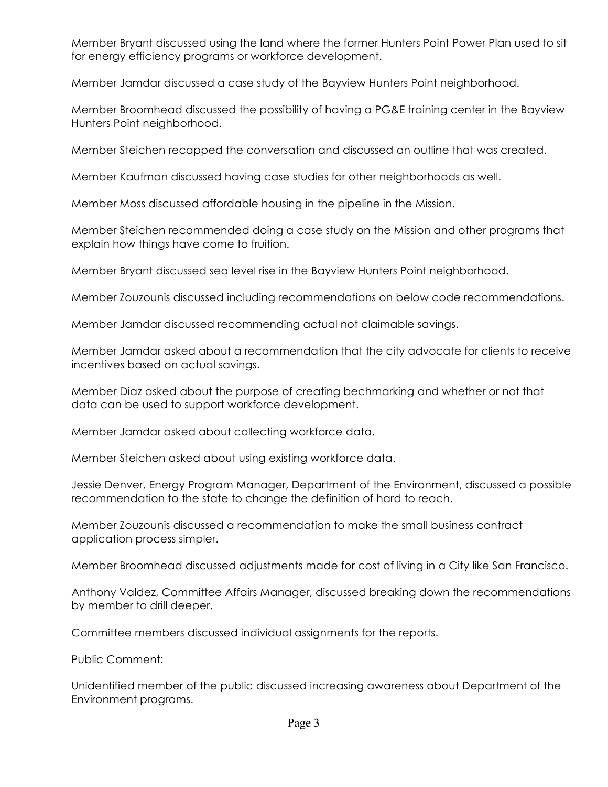Member Bryant discussed using the land where the former Hunters Point Power Plan used to sit for energy efficiency programs or workforce development.

Member Jamdar discussed a case study of the Bayview Hunters Point neighborhood.

Member Broomhead discussed the possibility of having a PG&E training center in the Bayview Hunters Point neighborhood.

Member Steichen recapped the conversation and discussed an outline that was created.

Member Kaufman discussed having case studies for other neighborhoods as well.

Member Moss discussed affordable housing in the pipeline in the Mission.

Member Steichen recommended doing a case study on the Mission and other programs that explain how things have come to fruition.

Member Bryant discussed sea level rise in the Bayview Hunters Point neighborhood.

Member Zouzounis discussed including recommendations on below code recommendations.

Member Jamdar discussed recommending actual not claimable savings.

Member Jamdar asked about a recommendation that the city advocate for clients to receive incentives based on actual savings.

Member Diaz asked about the purpose of creating bechmarking and whether or not that data can be used to support workforce development.

Member Jamdar asked about collecting workforce data.

Member Steichen asked about using existing workforce data.

Jessie Denver, Energy Program Manager, Department of the Environment, discussed a possible recommendation to the state to change the definition of hard to reach.

Member Zouzounis discussed a recommendation to make the small business contract application process simpler.

Member Broomhead discussed adjustments made for cost of living in a City like San Francisco.

Anthony Valdez, Committee Affairs Manager, discussed breaking down the recommendations by member to drill deeper.

Committee members discussed individual assignments for the reports.

Public Comment:

Unidentified member of the public discussed increasing awareness about Department of the Environment programs.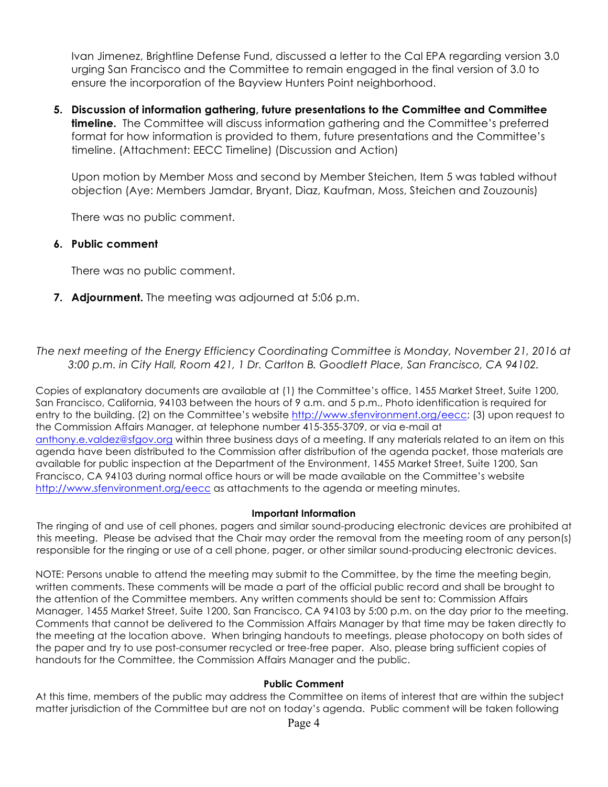Ivan Jimenez, Brightline Defense Fund, discussed a letter to the Cal EPA regarding version 3.0 urging San Francisco and the Committee to remain engaged in the final version of 3.0 to ensure the incorporation of the Bayview Hunters Point neighborhood.

**5. Discussion of information gathering, future presentations to the Committee and Committee timeline.** The Committee will discuss information gathering and the Committee's preferred format for how information is provided to them, future presentations and the Committee's timeline. (Attachment: EECC Timeline) (Discussion and Action)

Upon motion by Member Moss and second by Member Steichen, Item 5 was tabled without objection (Aye: Members Jamdar, Bryant, Diaz, Kaufman, Moss, Steichen and Zouzounis)

There was no public comment.

## **6. Public comment**

There was no public comment.

**7. Adjournment.** The meeting was adjourned at 5:06 p.m.

*The next meeting of the Energy Efficiency Coordinating Committee is Monday, November 21, 2016 at 3:00 p.m. in City Hall, Room 421, 1 Dr. Carlton B. Goodlett Place, San Francisco, CA 94102.*

Copies of explanatory documents are available at (1) the Committee's office, 1455 Market Street, Suite 1200, San Francisco, California, 94103 between the hours of 9 a.m. and 5 p.m., Photo identification is required for entry to the building. (2) on the Committee's website http://www.sfenvironment.org/eecc; (3) upon request to the Commission Affairs Manager, at telephone number 415-355-3709, or via e-mail at anthony.e.valdez@sfgov.org within three business days of a meeting. If any materials related to an item on this agenda have been distributed to the Commission after distribution of the agenda packet, those materials are available for public inspection at the Department of the Environment, 1455 Market Street, Suite 1200, San Francisco, CA 94103 during normal office hours or will be made available on the Committee's website http://www.sfenvironment.org/eecc as attachments to the agenda or meeting minutes.

### **Important Information**

The ringing of and use of cell phones, pagers and similar sound-producing electronic devices are prohibited at this meeting. Please be advised that the Chair may order the removal from the meeting room of any person(s) responsible for the ringing or use of a cell phone, pager, or other similar sound-producing electronic devices.

NOTE: Persons unable to attend the meeting may submit to the Committee, by the time the meeting begin, written comments. These comments will be made a part of the official public record and shall be brought to the attention of the Committee members. Any written comments should be sent to: Commission Affairs Manager, 1455 Market Street, Suite 1200, San Francisco, CA 94103 by 5:00 p.m. on the day prior to the meeting. Comments that cannot be delivered to the Commission Affairs Manager by that time may be taken directly to the meeting at the location above. When bringing handouts to meetings, please photocopy on both sides of the paper and try to use post-consumer recycled or tree-free paper. Also, please bring sufficient copies of handouts for the Committee, the Commission Affairs Manager and the public.

#### **Public Comment**

At this time, members of the public may address the Committee on items of interest that are within the subject matter jurisdiction of the Committee but are not on today's agenda. Public comment will be taken following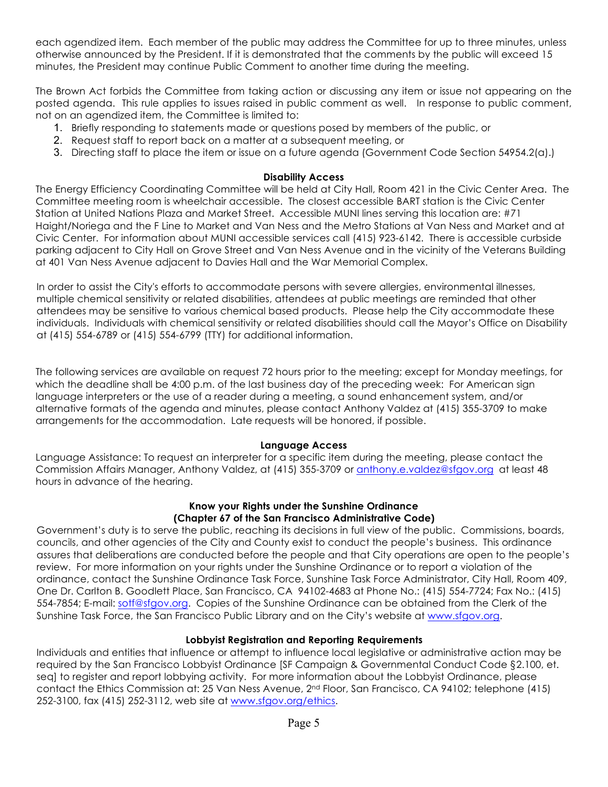each agendized item. Each member of the public may address the Committee for up to three minutes, unless otherwise announced by the President. If it is demonstrated that the comments by the public will exceed 15 minutes, the President may continue Public Comment to another time during the meeting.

The Brown Act forbids the Committee from taking action or discussing any item or issue not appearing on the posted agenda. This rule applies to issues raised in public comment as well. In response to public comment, not on an agendized item, the Committee is limited to:

- 1. Briefly responding to statements made or questions posed by members of the public, or
- 2. Request staff to report back on a matter at a subsequent meeting, or
- 3. Directing staff to place the item or issue on a future agenda (Government Code Section 54954.2(a).)

### **Disability Access**

The Energy Efficiency Coordinating Committee will be held at City Hall, Room 421 in the Civic Center Area. The Committee meeting room is wheelchair accessible. The closest accessible BART station is the Civic Center Station at United Nations Plaza and Market Street. Accessible MUNI lines serving this location are: #71 Haight/Noriega and the F Line to Market and Van Ness and the Metro Stations at Van Ness and Market and at Civic Center. For information about MUNI accessible services call (415) 923-6142. There is accessible curbside parking adjacent to City Hall on Grove Street and Van Ness Avenue and in the vicinity of the Veterans Building at 401 Van Ness Avenue adjacent to Davies Hall and the War Memorial Complex.

In order to assist the City's efforts to accommodate persons with severe allergies, environmental illnesses, multiple chemical sensitivity or related disabilities, attendees at public meetings are reminded that other attendees may be sensitive to various chemical based products. Please help the City accommodate these individuals. Individuals with chemical sensitivity or related disabilities should call the Mayor's Office on Disability at (415) 554-6789 or (415) 554-6799 (TTY) for additional information.

The following services are available on request 72 hours prior to the meeting; except for Monday meetings, for which the deadline shall be 4:00 p.m. of the last business day of the preceding week: For American sign language interpreters or the use of a reader during a meeting, a sound enhancement system, and/or alternative formats of the agenda and minutes, please contact Anthony Valdez at (415) 355-3709 to make arrangements for the accommodation. Late requests will be honored, if possible.

## **Language Access**

Language Assistance: To request an interpreter for a specific item during the meeting, please contact the Commission Affairs Manager, Anthony Valdez, at (415) 355-3709 or anthony.e.valdez@sfgov.org at least 48 hours in advance of the hearing.

### **Know your Rights under the Sunshine Ordinance (Chapter 67 of the San Francisco Administrative Code)**

Government's duty is to serve the public, reaching its decisions in full view of the public. Commissions, boards, councils, and other agencies of the City and County exist to conduct the people's business. This ordinance assures that deliberations are conducted before the people and that City operations are open to the people's review. For more information on your rights under the Sunshine Ordinance or to report a violation of the ordinance, contact the Sunshine Ordinance Task Force, Sunshine Task Force Administrator, City Hall, Room 409, One Dr. Carlton B. Goodlett Place, San Francisco, CA 94102-4683 at Phone No.: (415) 554-7724; Fax No.: (415) 554-7854; E-mail: sotf@sfgov.org. Copies of the Sunshine Ordinance can be obtained from the Clerk of the Sunshine Task Force, the San Francisco Public Library and on the City's website at www.sfgov.org.

## **Lobbyist Registration and Reporting Requirements**

Individuals and entities that influence or attempt to influence local legislative or administrative action may be required by the San Francisco Lobbyist Ordinance [SF Campaign & Governmental Conduct Code §2.100, et. seq] to register and report lobbying activity. For more information about the Lobbyist Ordinance, please contact the Ethics Commission at: 25 Van Ness Avenue, 2<sup>nd</sup> Floor, San Francisco, CA 94102; telephone (415) 252-3100, fax (415) 252-3112, web site at www.sfgov.org/ethics.